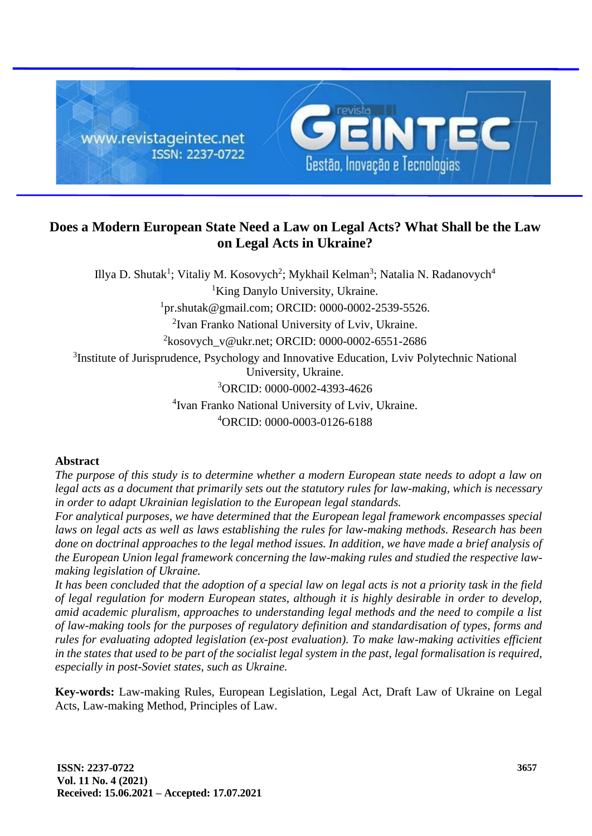

# **Does a Modern European State Need a Law on Legal Acts? What Shall be the Law on Legal Acts in Ukraine?**

Illya D. Shutak<sup>1</sup>; Vitaliy M. Kosovych<sup>2</sup>; Mykhail Kelman<sup>3</sup>; Natalia N. Radanovych<sup>4</sup> <sup>1</sup>King Danylo University, Ukraine. 1 pr.shutak@gmail.com; ORCID: 0000-0002-2539-5526. <sup>2</sup> Ivan Franko National University of Lviv, Ukraine. 2 kosovych\_v@ukr.net; ORCID: 0000-0002-6551-2686 <sup>3</sup>Institute of Jurisprudence, Psychology and Innovative Education, Lviv Polytechnic National University, Ukraine. <sup>3</sup>ORCID: 0000-0002-4393-4626 4 Ivan Franko National University of Lviv, Ukraine. <sup>4</sup>ORCID: 0000-0003-0126-6188

# **Abstract**

*The purpose of this study is to determine whether a modern European state needs to adopt a law on legal acts as a document that primarily sets out the statutory rules for law-making, which is necessary in order to adapt Ukrainian legislation to the European legal standards.* 

*For analytical purposes, we have determined that the European legal framework encompasses special*  laws on legal acts as well as laws establishing the rules for law-making methods. Research has been *done on doctrinal approaches to the legal method issues. In addition, we have made a brief analysis of the European Union legal framework concerning the law-making rules and studied the respective lawmaking legislation of Ukraine.*

*It has been concluded that the adoption of a special law on legal acts is not a priority task in the field of legal regulation for modern European states, although it is highly desirable in order to develop, amid academic pluralism, approaches to understanding legal methods and the need to compile a list of law-making tools for the purposes of regulatory definition and standardisation of types, forms and rules for evaluating adopted legislation (ex-post evaluation). To make law-making activities efficient in the states that used to be part of the socialist legal system in the past, legal formalisation is required, especially in post-Soviet states, such as Ukraine.*

**Key-words:** Law-making Rules, European Legislation, Legal Act, Draft Law of Ukraine on Legal Acts, Law-making Method, Principles of Law.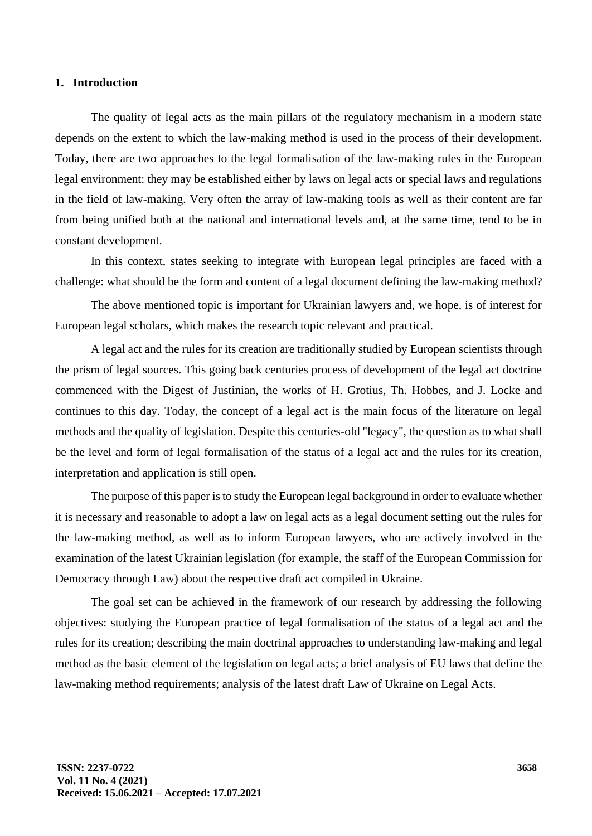# **1. Introduction**

The quality of legal acts as the main pillars of the regulatory mechanism in a modern state depends on the extent to which the law-making method is used in the process of their development. Today, there are two approaches to the legal formalisation of the law-making rules in the European legal environment: they may be established either by laws on legal acts or special laws and regulations in the field of law-making. Very often the array of law-making tools as well as their content are far from being unified both at the national and international levels and, at the same time, tend to be in constant development.

In this context, states seeking to integrate with European legal principles are faced with a challenge: what should be the form and content of a legal document defining the law-making method?

The above mentioned topic is important for Ukrainian lawyers and, we hope, is of interest for European legal scholars, which makes the research topic relevant and practical.

A legal act and the rules for its creation are traditionally studied by European scientists through the prism of legal sources. This going back centuries process of development of the legal act doctrine commenced with the Digest of Justinian, the works of H. Grotius, Th. Hobbes, and J. Locke and continues to this day. Today, the concept of a legal act is the main focus of the literature on legal methods and the quality of legislation. Despite this centuries-old "legacy", the question as to what shall be the level and form of legal formalisation of the status of a legal act and the rules for its creation, interpretation and application is still open.

The purpose of this paper is to study the European legal background in order to evaluate whether it is necessary and reasonable to adopt a law on legal acts as a legal document setting out the rules for the law-making method, as well as to inform European lawyers, who are actively involved in the examination of the latest Ukrainian legislation (for example, the staff of the European Commission for Democracy through Law) about the respective draft act compiled in Ukraine.

The goal set can be achieved in the framework of our research by addressing the following objectives: studying the European practice of legal formalisation of the status of a legal act and the rules for its creation; describing the main doctrinal approaches to understanding law-making and legal method as the basic element of the legislation on legal acts; a brief analysis of EU laws that define the law-making method requirements; analysis of the latest draft Law of Ukraine on Legal Acts.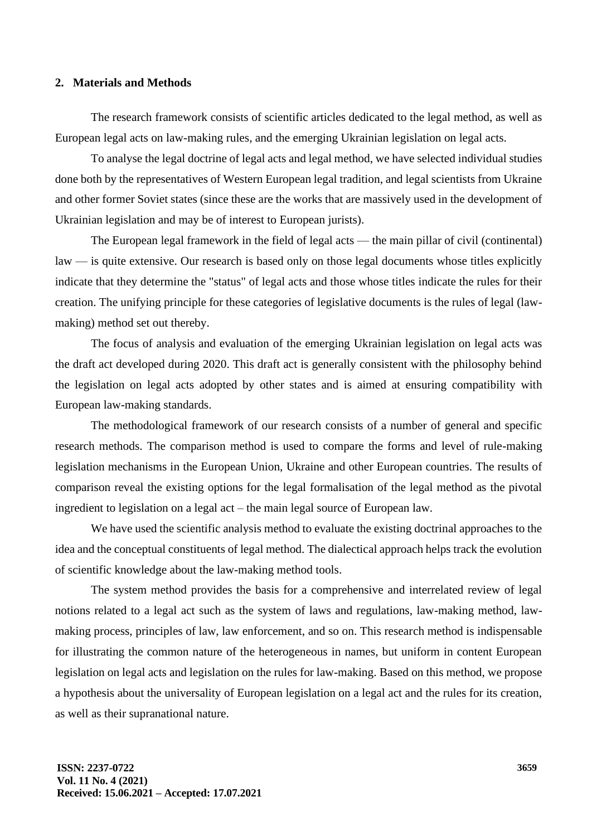# **2. Materials and Methods**

The research framework consists of scientific articles dedicated to the legal method, as well as European legal acts on law-making rules, and the emerging Ukrainian legislation on legal acts.

To analyse the legal doctrine of legal acts and legal method, we have selected individual studies done both by the representatives of Western European legal tradition, and legal scientists from Ukraine and other former Soviet states (since these are the works that are massively used in the development of Ukrainian legislation and may be of interest to European jurists).

The European legal framework in the field of legal acts — the main pillar of civil (continental) law — is quite extensive. Our research is based only on those legal documents whose titles explicitly indicate that they determine the "status" of legal acts and those whose titles indicate the rules for their creation. The unifying principle for these categories of legislative documents is the rules of legal (lawmaking) method set out thereby.

The focus of analysis and evaluation of the emerging Ukrainian legislation on legal acts was the draft act developed during 2020. This draft act is generally consistent with the philosophy behind the legislation on legal acts adopted by other states and is aimed at ensuring compatibility with European law-making standards.

The methodological framework of our research consists of a number of general and specific research methods. The comparison method is used to compare the forms and level of rule-making legislation mechanisms in the European Union, Ukraine and other European countries. The results of comparison reveal the existing options for the legal formalisation of the legal method as the pivotal ingredient to legislation on a legal act – the main legal source of European law.

We have used the scientific analysis method to evaluate the existing doctrinal approaches to the idea and the conceptual constituents of legal method. The dialectical approach helps track the evolution of scientific knowledge about the law-making method tools.

The system method provides the basis for a comprehensive and interrelated review of legal notions related to a legal act such as the system of laws and regulations, law-making method, lawmaking process, principles of law, law enforcement, and so on. This research method is indispensable for illustrating the common nature of the heterogeneous in names, but uniform in content European legislation on legal acts and legislation on the rules for law-making. Based on this method, we propose a hypothesis about the universality of European legislation on a legal act and the rules for its creation, as well as their supranational nature.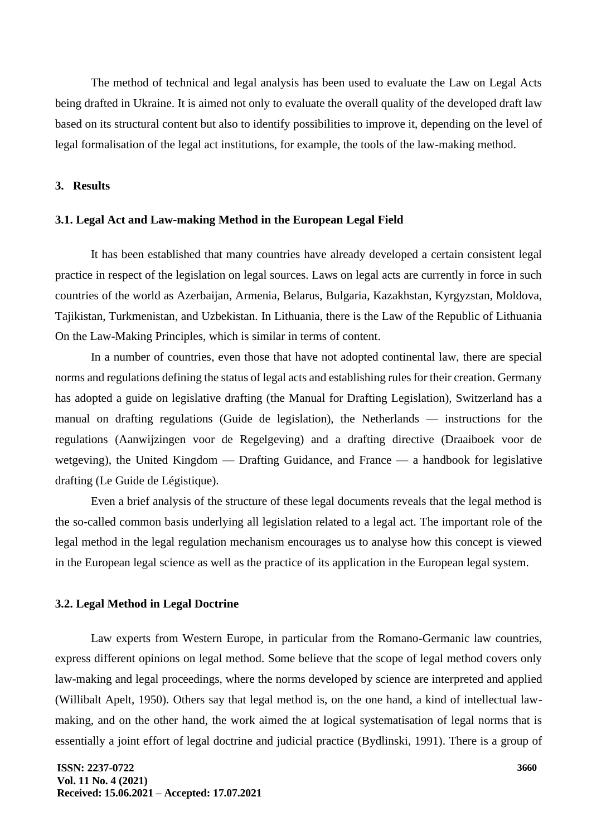The method of technical and legal analysis has been used to evaluate the Law on Legal Acts being drafted in Ukraine. It is aimed not only to evaluate the overall quality of the developed draft law based on its structural content but also to identify possibilities to improve it, depending on the level of legal formalisation of the legal act institutions, for example, the tools of the law-making method.

**3. Results**

#### **3.1. Legal Act and Law-making Method in the European Legal Field**

It has been established that many countries have already developed a certain consistent legal practice in respect of the legislation on legal sources. Laws on legal acts are currently in force in such countries of the world as Azerbaijan, Armenia, Belarus, Bulgaria, Kazakhstan, Kyrgyzstan, Moldova, Tajikistan, Turkmenistan, and Uzbekistan. In Lithuania, there is the Law of the Republic of Lithuania On the Law-Making Principles, which is similar in terms of content.

In a number of countries, even those that have not adopted continental law, there are special norms and regulations defining the status of legal acts and establishing rules for their creation. Germany has adopted a guide on legislative drafting (the Manual for Drafting Legislation), Switzerland has a manual on drafting regulations (Guide de legislation), the Netherlands — instructions for the regulations (Aanwijzingen voor de Regelgeving) and a drafting directive (Draaiboek voor de wetgeving), the United Kingdom — Drafting Guidance, and France — a handbook for legislative drafting (Le Guide de Légistique).

Even a brief analysis of the structure of these legal documents reveals that the legal method is the so-called common basis underlying all legislation related to a legal act. The important role of the legal method in the legal regulation mechanism encourages us to analyse how this concept is viewed in the European legal science as well as the practice of its application in the European legal system.

# **3.2. Legal Method in Legal Doctrine**

Law experts from Western Europe, in particular from the Romano-Germanic law countries, express different opinions on legal method. Some believe that the scope of legal method covers only law-making and legal proceedings, where the norms developed by science are interpreted and applied (Willibalt Apelt, 1950). Others say that legal method is, on the one hand, a kind of intellectual lawmaking, and on the other hand, the work aimed the at logical systematisation of legal norms that is essentially a joint effort of legal doctrine and judicial practice (Bydlinski, 1991). There is a group of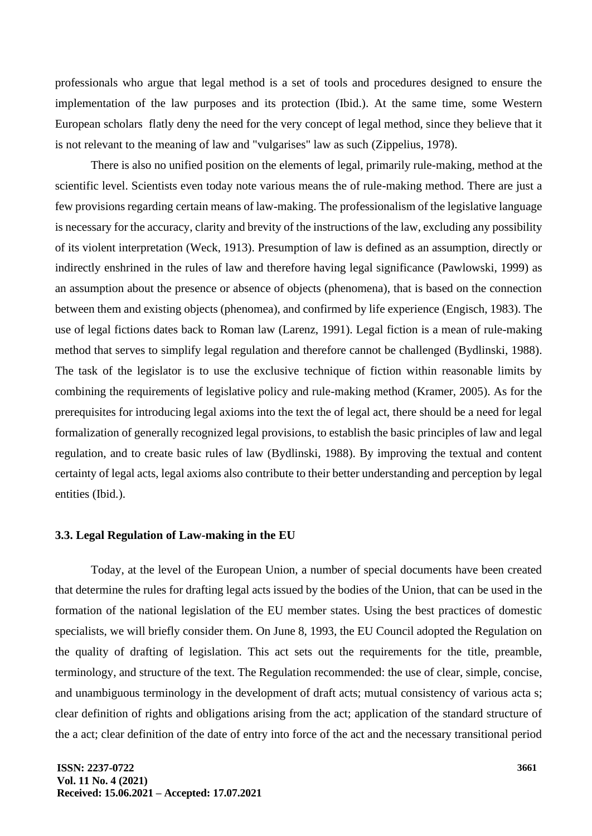professionals who argue that legal method is a set of tools and procedures designed to ensure the implementation of the law purposes and its protection (Ibid.). At the same time, some Western European scholars flatly deny the need for the very concept of legal method, since they believe that it is not relevant to the meaning of law and "vulgarises" law as such (Zippelius, 1978).

There is also no unified position on the elements of legal, primarily rule-making, method at the scientific level. Scientists even today note various means the of rule-making method. There are just a few provisions regarding certain means of law-making. The professionalism of the legislative language is necessary for the accuracy, clarity and brevity of the instructions of the law, excluding any possibility of its violent interpretation (Weck, 1913). Presumption of law is defined as an assumption, directly or indirectly enshrined in the rules of law and therefore having legal significance (Pawlowski, 1999) as an assumption about the presence or absence of objects (phenomena), that is based on the connection between them and existing objects (phenomea), and confirmed by life experience (Engisch, 1983). The use of legal fictions dates back to Roman law (Larenz, 1991). Legal fiction is a mean of rule-making method that serves to simplify legal regulation and therefore cannot be challenged (Bydlinski, 1988). The task of the legislator is to use the exclusive technique of fiction within reasonable limits by combining the requirements of legislative policy and rule-making method (Kramer, 2005). As for the prerequisites for introducing legal axioms into the text the of legal act, there should be a need for legal formalization of generally recognized legal provisions, to establish the basic principles of law and legal regulation, and to create basic rules of law (Bydlinski, 1988). By improving the textual and content certainty of legal acts, legal axioms also contribute to their better understanding and perception by legal entities (Ibid.).

#### **3.3. Legal Regulation of Law-making in the EU**

Today, at the level of the European Union, a number of special documents have been created that determine the rules for drafting legal acts issued by the bodies of the Union, that can be used in the formation of the national legislation of the EU member states. Using the best practices of domestic specialists, we will briefly consider them. On June 8, 1993, the EU Council adopted the Regulation on the quality of drafting of legislation. This act sets out the requirements for the title, preamble, terminology, and structure of the text. The Regulation recommended: the use of clear, simple, concise, and unambiguous terminology in the development of draft acts; mutual consistency of various acta s; clear definition of rights and obligations arising from the act; application of the standard structure of the a act; clear definition of the date of entry into force of the act and the necessary transitional period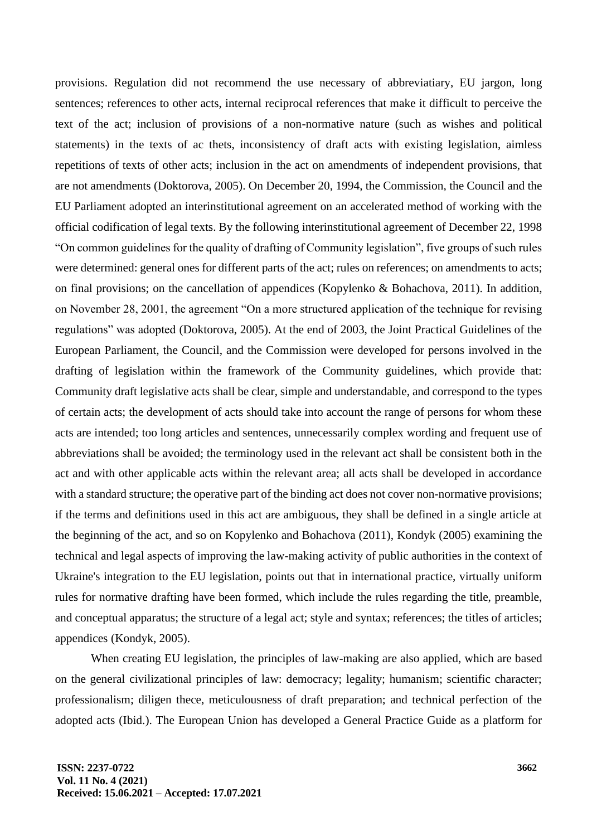provisions. Regulation did not recommend the use necessary of abbreviatiary, EU jargon, long sentences; references to other acts, internal reciprocal references that make it difficult to perceive the text of the act; inclusion of provisions of a non-normative nature (such as wishes and political statements) in the texts of ac thets, inconsistency of draft acts with existing legislation, aimless repetitions of texts of other acts; inclusion in the act on amendments of independent provisions, that are not amendments (Doktorova, 2005). On December 20, 1994, the Commission, the Council and the EU Parliament adopted an interinstitutional agreement on an accelerated method of working with the official codification of legal texts. By the following interinstitutional agreement of December 22, 1998 "On common guidelines for the quality of drafting of Community legislation", five groups of such rules were determined: general ones for different parts of the act; rules on references; on amendments to acts; on final provisions; on the cancellation of appendices (Kopylenko & Bohachova, 2011). In addition, on November 28, 2001, the agreement "On a more structured application of the technique for revising regulations" was adopted (Doktorova, 2005). At the end of 2003, the Joint Practical Guidelines of the European Parliament, the Council, and the Commission were developed for persons involved in the drafting of legislation within the framework of the Community guidelines, which provide that: Community draft legislative acts shall be clear, simple and understandable, and correspond to the types of certain acts; the development of acts should take into account the range of persons for whom these acts are intended; too long articles and sentences, unnecessarily complex wording and frequent use of abbreviations shall be avoided; the terminology used in the relevant act shall be consistent both in the act and with other applicable acts within the relevant area; all acts shall be developed in accordance with a standard structure; the operative part of the binding act does not cover non-normative provisions; if the terms and definitions used in this act are ambiguous, they shall be defined in a single article at the beginning of the act, and so on Kopylenko and Bohachova (2011), Kondyk (2005) examining the technical and legal aspects of improving the law-making activity of public authorities in the context of Ukraine's integration to the EU legislation, points out that in international practice, virtually uniform rules for normative drafting have been formed, which include the rules regarding the title, preamble, and conceptual apparatus; the structure of a legal act; style and syntax; references; the titles of articles; appendices (Kondyk, 2005).

When creating EU legislation, the principles of law-making are also applied, which are based on the general civilizational principles of law: democracy; legality; humanism; scientific character; professionalism; diligen thece, meticulousness of draft preparation; and technical perfection of the adopted acts (Ibid.). The European Union has developed a General Practice Guide as a platform for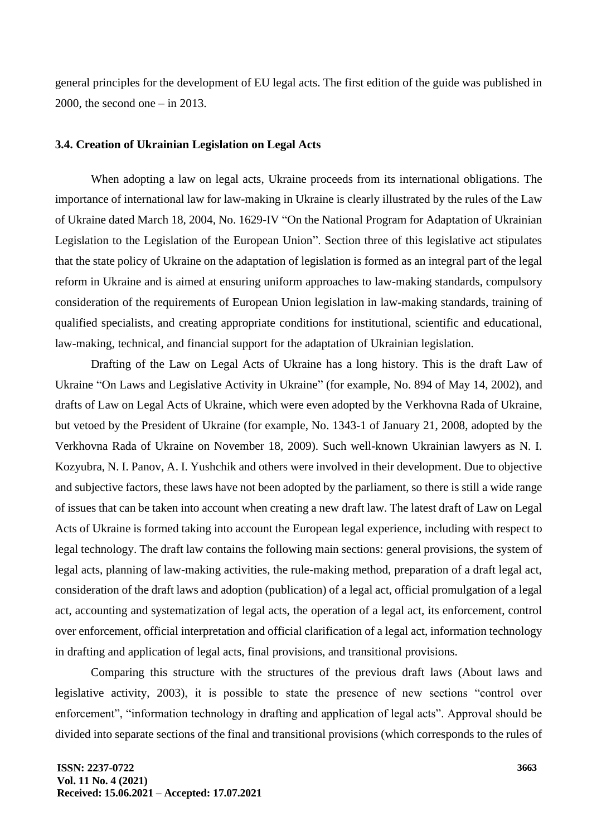general principles for the development of EU legal acts. The first edition of the guide was published in 2000, the second one  $-$  in 2013.

### **3.4. Creation of Ukrainian Legislation on Legal Acts**

When adopting a law on legal acts, Ukraine proceeds from its international obligations. The importance of international law for law-making in Ukraine is clearly illustrated by the rules of the Law of Ukraine dated March 18, 2004, No. 1629-IV "On the National Program for Adaptation of Ukrainian Legislation to the Legislation of the European Union". Section three of this legislative act stipulates that the state policy of Ukraine on the adaptation of legislation is formed as an integral part of the legal reform in Ukraine and is aimed at ensuring uniform approaches to law-making standards, compulsory consideration of the requirements of European Union legislation in law-making standards, training of qualified specialists, and creating appropriate conditions for institutional, scientific and educational, law-making, technical, and financial support for the adaptation of Ukrainian legislation.

Drafting of the Law on Legal Acts of Ukraine has a long history. This is the draft Law of Ukraine "On Laws and Legislative Activity in Ukraine" (for example, No. 894 of May 14, 2002), and drafts of Law on Legal Acts of Ukraine, which were even adopted by the Verkhovna Rada of Ukraine, but vetoed by the President of Ukraine (for example, No. 1343-1 of January 21, 2008, adopted by the Verkhovna Rada of Ukraine on November 18, 2009). Such well-known Ukrainian lawyers as N. I. Kozyubra, N. I. Panov, A. I. Yushchik and others were involved in their development. Due to objective and subjective factors, these laws have not been adopted by the parliament, so there is still a wide range of issues that can be taken into account when creating a new draft law. The latest draft of Law on Legal Acts of Ukraine is formed taking into account the European legal experience, including with respect to legal technology. The draft law contains the following main sections: general provisions, the system of legal acts, planning of law-making activities, the rule-making method, preparation of a draft legal act, consideration of the draft laws and adoption (publication) of a legal act, official promulgation of a legal act, accounting and systematization of legal acts, the operation of a legal act, its enforcement, control over enforcement, official interpretation and official clarification of a legal act, information technology in drafting and application of legal acts, final provisions, and transitional provisions.

Comparing this structure with the structures of the previous draft laws (About laws and legislative activity, 2003), it is possible to state the presence of new sections "control over enforcement", "information technology in drafting and application of legal acts". Approval should be divided into separate sections of the final and transitional provisions (which corresponds to the rules of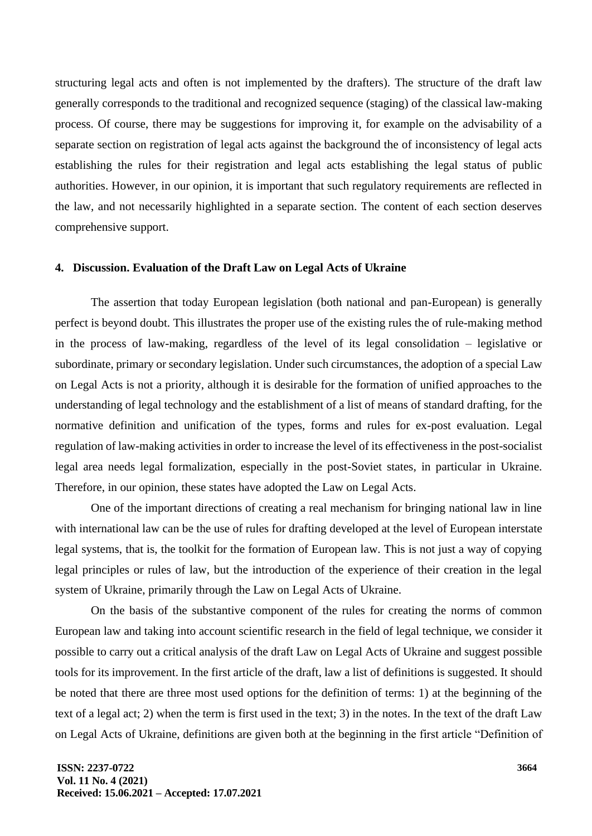structuring legal acts and often is not implemented by the drafters). The structure of the draft law generally corresponds to the traditional and recognized sequence (staging) of the classical law-making process. Of course, there may be suggestions for improving it, for example on the advisability of a separate section on registration of legal acts against the background the of inconsistency of legal acts establishing the rules for their registration and legal acts establishing the legal status of public authorities. However, in our opinion, it is important that such regulatory requirements are reflected in the law, and not necessarily highlighted in a separate section. The content of each section deserves comprehensive support.

# **4. Discussion. Evaluation of the Draft Law on Legal Acts of Ukraine**

The assertion that today European legislation (both national and pan-European) is generally perfect is beyond doubt. This illustrates the proper use of the existing rules the of rule-making method in the process of law-making, regardless of the level of its legal consolidation – legislative or subordinate, primary or secondary legislation. Under such circumstances, the adoption of a special Law on Legal Acts is not a priority, although it is desirable for the formation of unified approaches to the understanding of legal technology and the establishment of a list of means of standard drafting, for the normative definition and unification of the types, forms and rules for ex-post evaluation. Legal regulation of law-making activities in order to increase the level of its effectiveness in the post-socialist legal area needs legal formalization, especially in the post-Soviet states, in particular in Ukraine. Therefore, in our opinion, these states have adopted the Law on Legal Acts.

One of the important directions of creating a real mechanism for bringing national law in line with international law can be the use of rules for drafting developed at the level of European interstate legal systems, that is, the toolkit for the formation of European law. This is not just a way of copying legal principles or rules of law, but the introduction of the experience of their creation in the legal system of Ukraine, primarily through the Law on Legal Acts of Ukraine.

On the basis of the substantive component of the rules for creating the norms of common European law and taking into account scientific research in the field of legal technique, we consider it possible to carry out a critical analysis of the draft Law on Legal Acts of Ukraine and suggest possible tools for its improvement. In the first article of the draft, law a list of definitions is suggested. It should be noted that there are three most used options for the definition of terms: 1) at the beginning of the text of a legal act; 2) when the term is first used in the text; 3) in the notes. In the text of the draft Law on Legal Acts of Ukraine, definitions are given both at the beginning in the first article "Definition of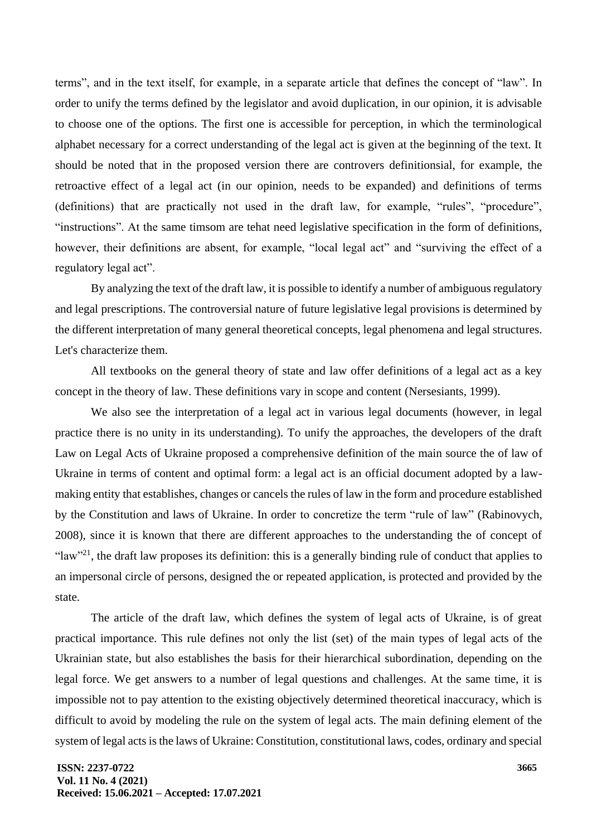terms", and in the text itself, for example, in a separate article that defines the concept of "law". In order to unify the terms defined by the legislator and avoid duplication, in our opinion, it is advisable to choose one of the options. The first one is accessible for perception, in which the terminological alphabet necessary for a correct understanding of the legal act is given at the beginning of the text. It should be noted that in the proposed version there are controvers definitionsial, for example, the retroactive effect of a legal act (in our opinion, needs to be expanded) and definitions of terms (definitions) that are practically not used in the draft law, for example, "rules", "procedure", "instructions". At the same timsom are tehat need legislative specification in the form of definitions, however, their definitions are absent, for example, "local legal act" and "surviving the effect of a regulatory legal act".

By analyzing the text of the draft law, it is possible to identify a number of ambiguous regulatory and legal prescriptions. The controversial nature of future legislative legal provisions is determined by the different interpretation of many general theoretical concepts, legal phenomena and legal structures. Let's characterize them.

All textbooks on the general theory of state and law offer definitions of a legal act as a key concept in the theory of law. These definitions vary in scope and content (Nersesiants, 1999).

We also see the interpretation of a legal act in various legal documents (however, in legal practice there is no unity in its understanding). To unify the approaches, the developers of the draft Law on Legal Acts of Ukraine proposed a comprehensive definition of the main source the of law of Ukraine in terms of content and optimal form: a legal act is an official document adopted by a lawmaking entity that establishes, changes or cancels the rules of law in the form and procedure established by the Constitution and laws of Ukraine. In order to concretize the term "rule of law" (Rabinovych, 2008), since it is known that there are different approaches to the understanding the of concept of "law"<sup>21</sup>, the draft law proposes its definition: this is a generally binding rule of conduct that applies to an impersonal circle of persons, designed the or repeated application, is protected and provided by the state.

The article of the draft law, which defines the system of legal acts of Ukraine, is of great practical importance. This rule defines not only the list (set) of the main types of legal acts of the Ukrainian state, but also establishes the basis for their hierarchical subordination, depending on the legal force. We get answers to a number of legal questions and challenges. At the same time, it is impossible not to pay attention to the existing objectively determined theoretical inaccuracy, which is difficult to avoid by modeling the rule on the system of legal acts. The main defining element of the system of legal acts is the laws of Ukraine: Constitution, constitutional laws, codes, ordinary and special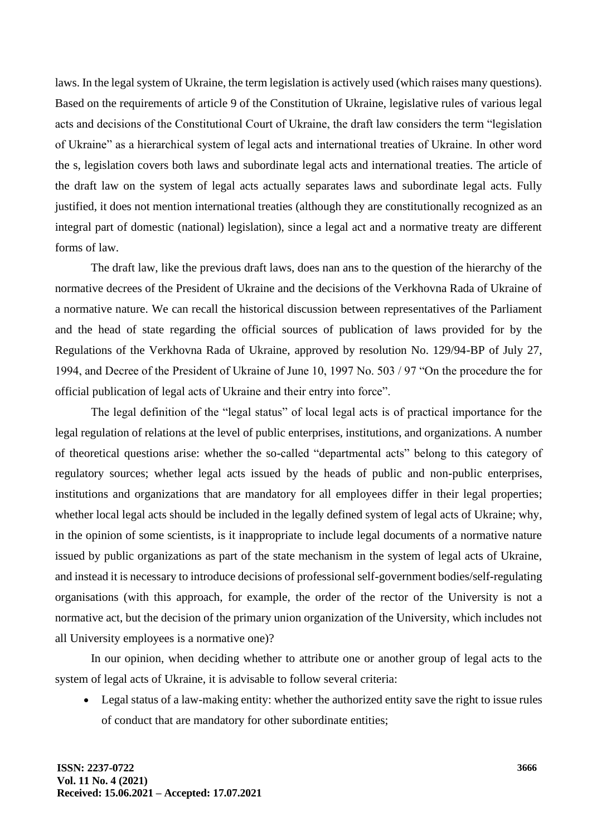laws. In the legal system of Ukraine, the term legislation is actively used (which raises many questions). Based on the requirements of article 9 of the Constitution of Ukraine, legislative rules of various legal acts and decisions of the Constitutional Court of Ukraine, the draft law considers the term "legislation of Ukraine" as a hierarchical system of legal acts and international treaties of Ukraine. In other word the s, legislation covers both laws and subordinate legal acts and international treaties. The article of the draft law on the system of legal acts actually separates laws and subordinate legal acts. Fully justified, it does not mention international treaties (although they are constitutionally recognized as an integral part of domestic (national) legislation), since a legal act and a normative treaty are different forms of law.

The draft law, like the previous draft laws, does nan ans to the question of the hierarchy of the normative decrees of the President of Ukraine and the decisions of the Verkhovna Rada of Ukraine of a normative nature. We can recall the historical discussion between representatives of the Parliament and the head of state regarding the official sources of publication of laws provided for by the Regulations of the Verkhovna Rada of Ukraine, approved by resolution No. 129/94-BP of July 27, 1994, and Decree of the President of Ukraine of June 10, 1997 No. 503 / 97 "On the procedure the for official publication of legal acts of Ukraine and their entry into force".

The legal definition of the "legal status" of local legal acts is of practical importance for the legal regulation of relations at the level of public enterprises, institutions, and organizations. A number of theoretical questions arise: whether the so-called "departmental acts" belong to this category of regulatory sources; whether legal acts issued by the heads of public and non-public enterprises, institutions and organizations that are mandatory for all employees differ in their legal properties; whether local legal acts should be included in the legally defined system of legal acts of Ukraine; why, in the opinion of some scientists, is it inappropriate to include legal documents of a normative nature issued by public organizations as part of the state mechanism in the system of legal acts of Ukraine, and instead it is necessary to introduce decisions of professional self-government bodies/self-regulating organisations (with this approach, for example, the order of the rector of the University is not a normative act, but the decision of the primary union organization of the University, which includes not all University employees is a normative one)?

In our opinion, when deciding whether to attribute one or another group of legal acts to the system of legal acts of Ukraine, it is advisable to follow several criteria:

• Legal status of a law-making entity: whether the authorized entity save the right to issue rules of conduct that are mandatory for other subordinate entities;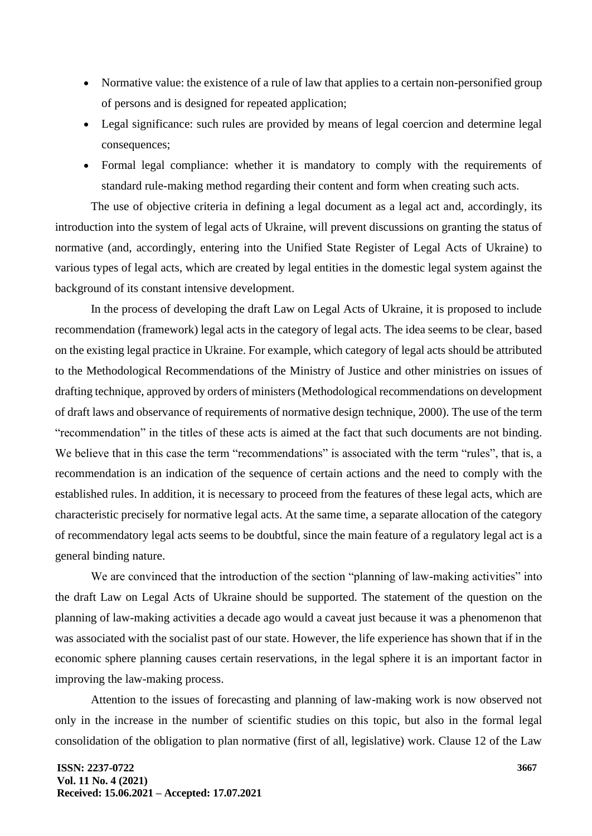- Normative value: the existence of a rule of law that applies to a certain non-personified group of persons and is designed for repeated application;
- Legal significance: such rules are provided by means of legal coercion and determine legal consequences;
- Formal legal compliance: whether it is mandatory to comply with the requirements of standard rule-making method regarding their content and form when creating such acts.

The use of objective criteria in defining a legal document as a legal act and, accordingly, its introduction into the system of legal acts of Ukraine, will prevent discussions on granting the status of normative (and, accordingly, entering into the Unified State Register of Legal Acts of Ukraine) to various types of legal acts, which are created by legal entities in the domestic legal system against the background of its constant intensive development.

In the process of developing the draft Law on Legal Acts of Ukraine, it is proposed to include recommendation (framework) legal acts in the category of legal acts. The idea seems to be clear, based on the existing legal practice in Ukraine. For example, which category of legal acts should be attributed to the Methodological Recommendations of the Ministry of Justice and other ministries on issues of drafting technique, approved by orders of ministers (Methodological recommendations on development of draft laws and observance of requirements of normative design technique, 2000). The use of the term "recommendation" in the titles of these acts is aimed at the fact that such documents are not binding. We believe that in this case the term "recommendations" is associated with the term "rules", that is, a recommendation is an indication of the sequence of certain actions and the need to comply with the established rules. In addition, it is necessary to proceed from the features of these legal acts, which are characteristic precisely for normative legal acts. At the same time, a separate allocation of the category of recommendatory legal acts seems to be doubtful, since the main feature of a regulatory legal act is a general binding nature.

We are convinced that the introduction of the section "planning of law-making activities" into the draft Law on Legal Acts of Ukraine should be supported. The statement of the question on the planning of law-making activities a decade ago would a caveat just because it was a phenomenon that was associated with the socialist past of our state. However, the life experience has shown that if in the economic sphere planning causes certain reservations, in the legal sphere it is an important factor in improving the law-making process.

Attention to the issues of forecasting and planning of law-making work is now observed not only in the increase in the number of scientific studies on this topic, but also in the formal legal consolidation of the obligation to plan normative (first of all, legislative) work. Clause 12 of the Law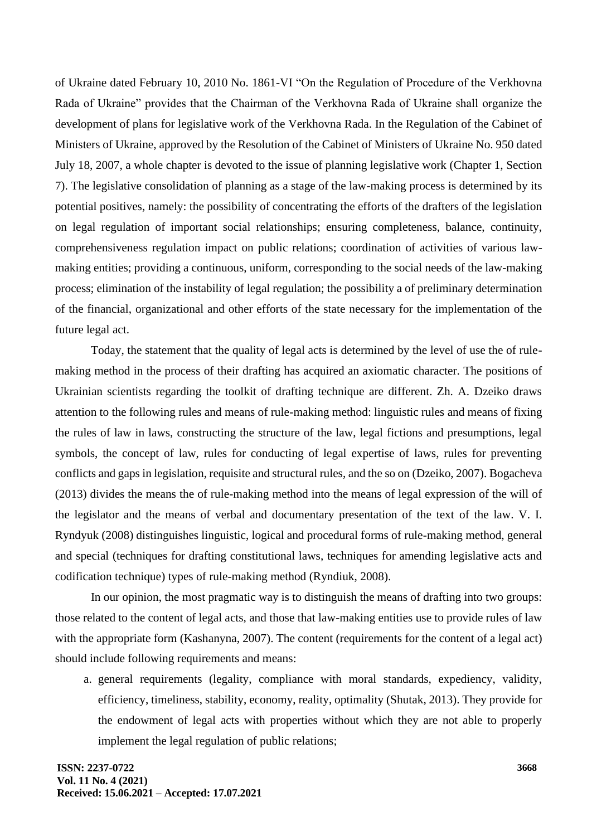of Ukraine dated February 10, 2010 No. 1861-VI "On the Regulation of Procedure of the Verkhovna Rada of Ukraine" provides that the Chairman of the Verkhovna Rada of Ukraine shall organize the development of plans for legislative work of the Verkhovna Rada. In the Regulation of the Cabinet of Ministers of Ukraine, approved by the Resolution of the Cabinet of Ministers of Ukraine No. 950 dated July 18, 2007, a whole chapter is devoted to the issue of planning legislative work (Chapter 1, Section 7). The legislative consolidation of planning as a stage of the law-making process is determined by its potential positives, namely: the possibility of concentrating the efforts of the drafters of the legislation on legal regulation of important social relationships; ensuring completeness, balance, continuity, comprehensiveness regulation impact on public relations; coordination of activities of various lawmaking entities; providing a continuous, uniform, corresponding to the social needs of the law-making process; elimination of the instability of legal regulation; the possibility a of preliminary determination of the financial, organizational and other efforts of the state necessary for the implementation of the future legal act.

Today, the statement that the quality of legal acts is determined by the level of use the of rulemaking method in the process of their drafting has acquired an axiomatic character. The positions of Ukrainian scientists regarding the toolkit of drafting technique are different. Zh. A. Dzeiko draws attention to the following rules and means of rule-making method: linguistic rules and means of fixing the rules of law in laws, constructing the structure of the law, legal fictions and presumptions, legal symbols, the concept of law, rules for conducting of legal expertise of laws, rules for preventing conflicts and gaps in legislation, requisite and structural rules, and the so on (Dzeiko, 2007). Bogacheva (2013) divides the means the of rule-making method into the means of legal expression of the will of the legislator and the means of verbal and documentary presentation of the text of the law. V. I. Ryndyuk (2008) distinguishes linguistic, logical and procedural forms of rule-making method, general and special (techniques for drafting constitutional laws, techniques for amending legislative acts and codification technique) types of rule-making method (Ryndiuk, 2008).

In our opinion, the most pragmatic way is to distinguish the means of drafting into two groups: those related to the content of legal acts, and those that law-making entities use to provide rules of law with the appropriate form (Kashanyna, 2007). The content (requirements for the content of a legal act) should include following requirements and means:

a. general requirements (legality, compliance with moral standards, expediency, validity, efficiency, timeliness, stability, economy, reality, optimality (Shutak, 2013). They provide for the endowment of legal acts with properties without which they are not able to properly implement the legal regulation of public relations;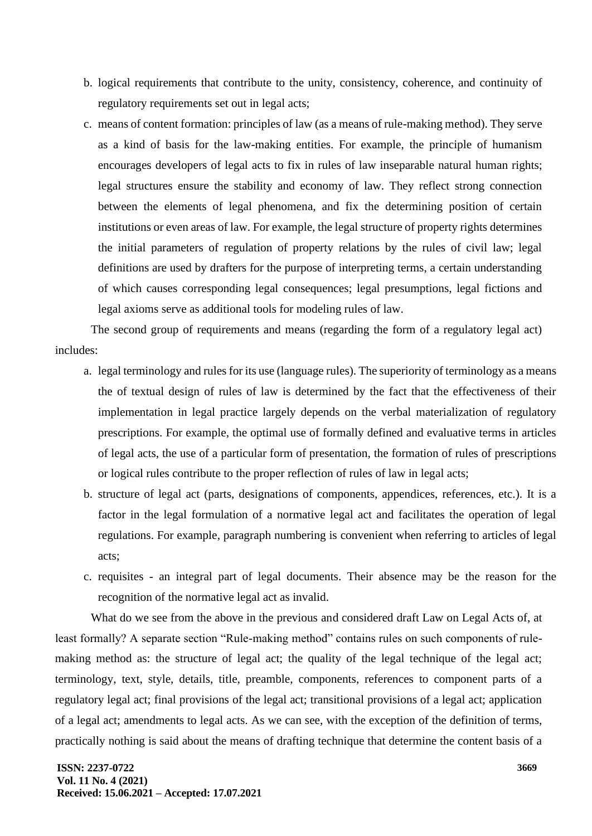- b. logical requirements that contribute to the unity, consistency, coherence, and continuity of regulatory requirements set out in legal acts;
- c. means of content formation: principles of law (as a means of rule-making method). They serve as a kind of basis for the law-making entities. For example, the principle of humanism encourages developers of legal acts to fix in rules of law inseparable natural human rights; legal structures ensure the stability and economy of law. They reflect strong connection between the elements of legal phenomena, and fix the determining position of certain institutions or even areas of law. For example, the legal structure of property rights determines the initial parameters of regulation of property relations by the rules of civil law; legal definitions are used by drafters for the purpose of interpreting terms, a certain understanding of which causes corresponding legal consequences; legal presumptions, legal fictions and legal axioms serve as additional tools for modeling rules of law.

The second group of requirements and means (regarding the form of a regulatory legal act) includes:

- a. legal terminology and rules for its use (language rules). The superiority of terminology as a means the of textual design of rules of law is determined by the fact that the effectiveness of their implementation in legal practice largely depends on the verbal materialization of regulatory prescriptions. For example, the optimal use of formally defined and evaluative terms in articles of legal acts, the use of a particular form of presentation, the formation of rules of prescriptions or logical rules contribute to the proper reflection of rules of law in legal acts;
- b. structure of legal act (parts, designations of components, appendices, references, etc.). It is a factor in the legal formulation of a normative legal act and facilitates the operation of legal regulations. For example, paragraph numbering is convenient when referring to articles of legal acts;
- c. requisites an integral part of legal documents. Their absence may be the reason for the recognition of the normative legal act as invalid.

What do we see from the above in the previous and considered draft Law on Legal Acts of, at least formally? A separate section "Rule-making method" contains rules on such components of rulemaking method as: the structure of legal act; the quality of the legal technique of the legal act; terminology, text, style, details, title, preamble, components, references to component parts of a regulatory legal act; final provisions of the legal act; transitional provisions of a legal act; application of a legal act; amendments to legal acts. As we can see, with the exception of the definition of terms, practically nothing is said about the means of drafting technique that determine the content basis of a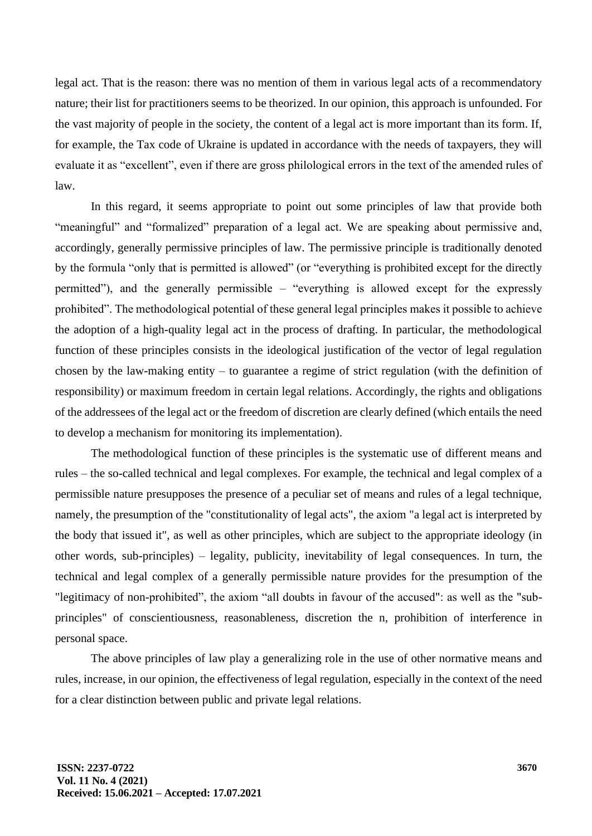legal act. That is the reason: there was no mention of them in various legal acts of a recommendatory nature; their list for practitioners seems to be theorized. In our opinion, this approach is unfounded. For the vast majority of people in the society, the content of a legal act is more important than its form. If, for example, the Tax code of Ukraine is updated in accordance with the needs of taxpayers, they will evaluate it as "excellent", even if there are gross philological errors in the text of the amended rules of law.

In this regard, it seems appropriate to point out some principles of law that provide both "meaningful" and "formalized" preparation of a legal act. We are speaking about permissive and, accordingly, generally permissive principles of law. The permissive principle is traditionally denoted by the formula "only that is permitted is allowed" (or "everything is prohibited except for the directly permitted"), and the generally permissible – "everything is allowed except for the expressly prohibited". The methodological potential of these general legal principles makes it possible to achieve the adoption of a high-quality legal act in the process of drafting. In particular, the methodological function of these principles consists in the ideological justification of the vector of legal regulation chosen by the law-making entity – to guarantee a regime of strict regulation (with the definition of responsibility) or maximum freedom in certain legal relations. Accordingly, the rights and obligations of the addressees of the legal act or the freedom of discretion are clearly defined (which entails the need to develop a mechanism for monitoring its implementation).

The methodological function of these principles is the systematic use of different means and rules – the so-called technical and legal complexes. For example, the technical and legal complex of a permissible nature presupposes the presence of a peculiar set of means and rules of a legal technique, namely, the presumption of the "constitutionality of legal acts", the axiom "a legal act is interpreted by the body that issued it", as well as other principles, which are subject to the appropriate ideology (in other words, sub-principles) – legality, publicity, inevitability of legal consequences. In turn, the technical and legal complex of a generally permissible nature provides for the presumption of the "legitimacy of non-prohibited", the axiom "all doubts in favour of the accused": as well as the "subprinciples" of conscientiousness, reasonableness, discretion the n, prohibition of interference in personal space.

The above principles of law play a generalizing role in the use of other normative means and rules, increase, in our opinion, the effectiveness of legal regulation, especially in the context of the need for a clear distinction between public and private legal relations.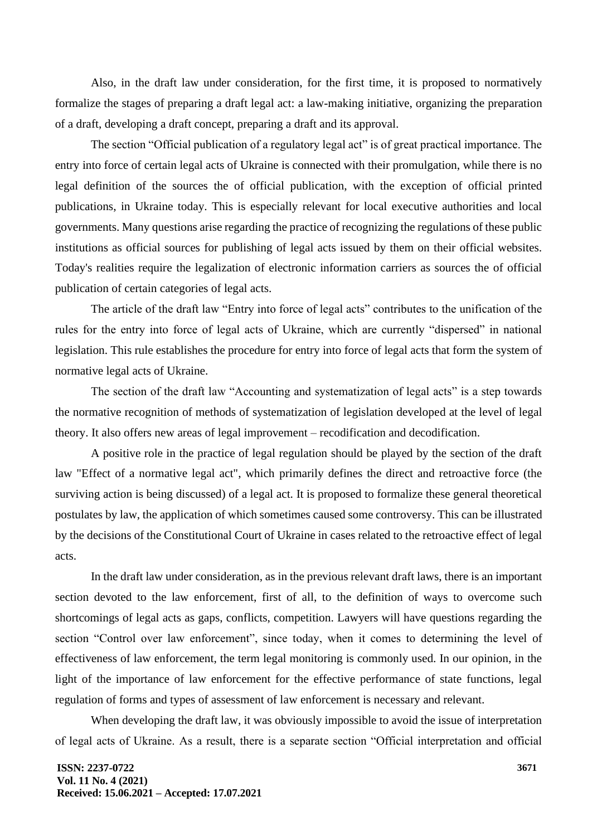Also, in the draft law under consideration, for the first time, it is proposed to normatively formalize the stages of preparing a draft legal act: a law-making initiative, organizing the preparation of a draft, developing a draft concept, preparing a draft and its approval.

The section "Official publication of a regulatory legal act" is of great practical importance. The entry into force of certain legal acts of Ukraine is connected with their promulgation, while there is no legal definition of the sources the of official publication, with the exception of official printed publications, in Ukraine today. This is especially relevant for local executive authorities and local governments. Many questions arise regarding the practice of recognizing the regulations of these public institutions as official sources for publishing of legal acts issued by them on their official websites. Today's realities require the legalization of electronic information carriers as sources the of official publication of certain categories of legal acts.

The article of the draft law "Entry into force of legal acts" contributes to the unification of the rules for the entry into force of legal acts of Ukraine, which are currently "dispersed" in national legislation. This rule establishes the procedure for entry into force of legal acts that form the system of normative legal acts of Ukraine.

The section of the draft law "Accounting and systematization of legal acts" is a step towards the normative recognition of methods of systematization of legislation developed at the level of legal theory. It also offers new areas of legal improvement – recodification and decodification.

A positive role in the practice of legal regulation should be played by the section of the draft law "Effect of a normative legal act", which primarily defines the direct and retroactive force (the surviving action is being discussed) of a legal act. It is proposed to formalize these general theoretical postulates by law, the application of which sometimes caused some controversy. This can be illustrated by the decisions of the Constitutional Court of Ukraine in cases related to the retroactive effect of legal acts.

In the draft law under consideration, as in the previous relevant draft laws, there is an important section devoted to the law enforcement, first of all, to the definition of ways to overcome such shortcomings of legal acts as gaps, conflicts, competition. Lawyers will have questions regarding the section "Control over law enforcement", since today, when it comes to determining the level of effectiveness of law enforcement, the term legal monitoring is commonly used. In our opinion, in the light of the importance of law enforcement for the effective performance of state functions, legal regulation of forms and types of assessment of law enforcement is necessary and relevant.

When developing the draft law, it was obviously impossible to avoid the issue of interpretation of legal acts of Ukraine. As a result, there is a separate section "Official interpretation and official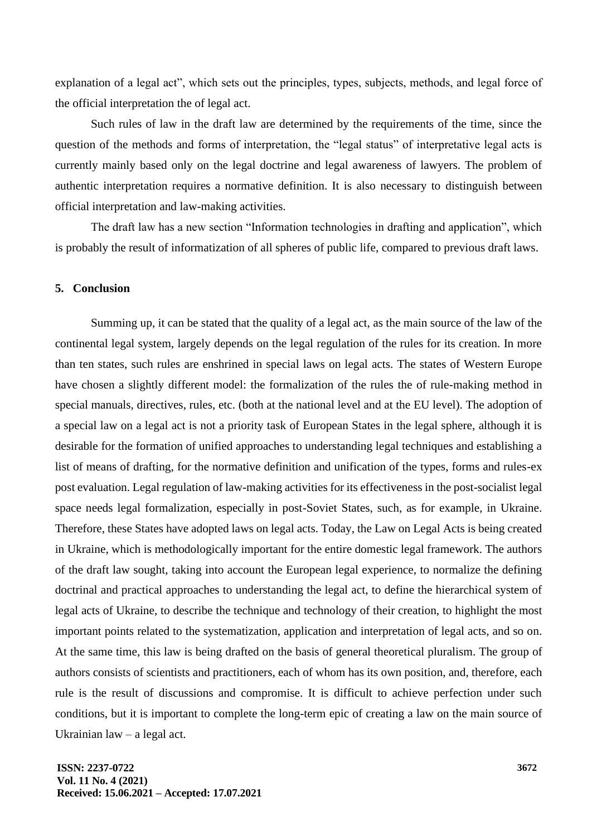explanation of a legal act", which sets out the principles, types, subjects, methods, and legal force of the official interpretation the of legal act.

Such rules of law in the draft law are determined by the requirements of the time, since the question of the methods and forms of interpretation, the "legal status" of interpretative legal acts is currently mainly based only on the legal doctrine and legal awareness of lawyers. The problem of authentic interpretation requires a normative definition. It is also necessary to distinguish between official interpretation and law-making activities.

The draft law has a new section "Information technologies in drafting and application", which is probably the result of informatization of all spheres of public life, compared to previous draft laws.

# **5. Conclusion**

Summing up, it can be stated that the quality of a legal act, as the main source of the law of the continental legal system, largely depends on the legal regulation of the rules for its creation. In more than ten states, such rules are enshrined in special laws on legal acts. The states of Western Europe have chosen a slightly different model: the formalization of the rules the of rule-making method in special manuals, directives, rules, etc. (both at the national level and at the EU level). The adoption of a special law on a legal act is not a priority task of European States in the legal sphere, although it is desirable for the formation of unified approaches to understanding legal techniques and establishing a list of means of drafting, for the normative definition and unification of the types, forms and rules-ex post evaluation. Legal regulation of law-making activities for its effectiveness in the post-socialist legal space needs legal formalization, especially in post-Soviet States, such, as for example, in Ukraine. Therefore, these States have adopted laws on legal acts. Today, the Law on Legal Acts is being created in Ukraine, which is methodologically important for the entire domestic legal framework. The authors of the draft law sought, taking into account the European legal experience, to normalize the defining doctrinal and practical approaches to understanding the legal act, to define the hierarchical system of legal acts of Ukraine, to describe the technique and technology of their creation, to highlight the most important points related to the systematization, application and interpretation of legal acts, and so on. At the same time, this law is being drafted on the basis of general theoretical pluralism. The group of authors consists of scientists and practitioners, each of whom has its own position, and, therefore, each rule is the result of discussions and compromise. It is difficult to achieve perfection under such conditions, but it is important to complete the long-term epic of creating a law on the main source of Ukrainian law – a legal act.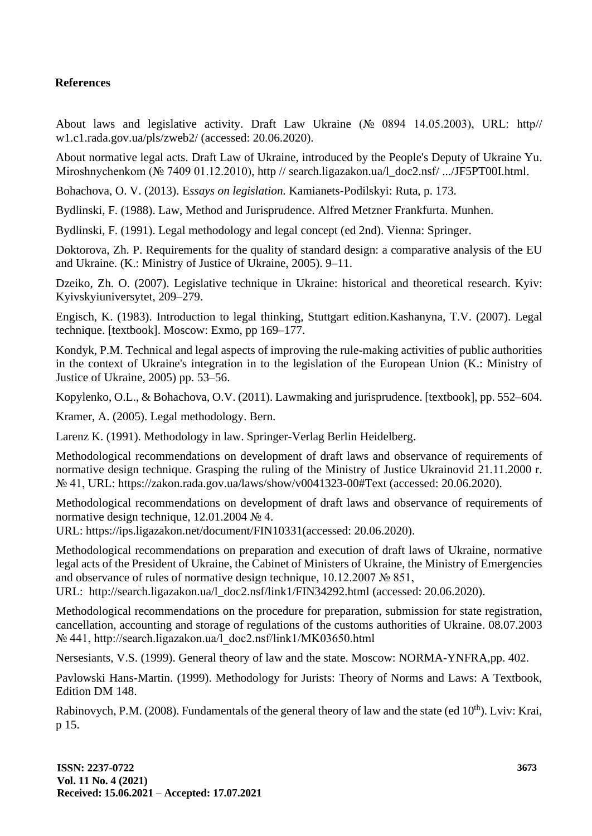# **References**

About laws and legislative activity. Draft Law Ukraine (№ 0894 14.05.2003), URL: http// w1.c1.rada.gov.ua/pls/zweb2/ (accessed: 20.06.2020).

About normative legal acts. Draft Law of Ukraine, introduced by the People's Deputy of Ukraine Yu. Miroshnychenkom (№ 7409 01.12.2010), http // search.ligazakon.ua/l\_doc2.nsf/ .../JF5PT00I.html.

Bohachova, O. V. (2013). E*ssays on legislation.* Kamianets-Podilskyi: Ruta, p. 173.

Bydlinski, F. (1988). Law, Method and Jurisprudence. Alfred Metzner Frankfurta. Munhen.

Bydlinski, F. (1991). Legal methodology and legal concept (ed 2nd). Vienna: Springer.

Doktorova, Zh. P. Requirements for the quality of standard design: a comparative analysis of the EU and Ukraine. (K.: Ministry of Justice of Ukraine, 2005). 9–11.

Dzeiko, Zh. O. (2007). Legislative technique in Ukraine: historical and theoretical research. Kyiv: Kyivskyiuniversytet, 209–279.

Engisch, K. (1983). Introduction to legal thinking, Stuttgart edition.Kashanyna, T.V. (2007). Legal technique. [textbook]. Moscow: Exmo, pp 169–177.

Kondyk, P.M. Technical and legal aspects of improving the rule-making activities of public authorities in the context of Ukraine's integration in to the legislation of the European Union (K.: Ministry of Justice of Ukraine, 2005) pp. 53–56.

Kopylenko, O.L., & Bohachova, O.V. (2011). Lawmaking and jurisprudence. [textbook], pp. 552–604.

Kramer, A. (2005). Legal methodology. Bern.

Larenz K. (1991). Methodology in law. Springer-Verlag Berlin Heidelberg.

Methodological recommendations on development of draft laws and observance of requirements of normative design technique. Grasping the ruling of the Ministry of Justice Ukrainovid 21.11.2000 r. № 41, URL: https://zakon.rada.gov.ua/laws/show/v0041323-00#Text (accessed: 20.06.2020).

Methodological recommendations on development of draft laws and observance of requirements of normative design technique, 12.01.2004 № 4.

URL: https://ips.ligazakon.net/document/FIN10331(accessed: 20.06.2020).

Methodological recommendations on preparation and execution of draft laws of Ukraine, normative legal acts of the President of Ukraine, the Cabinet of Ministers of Ukraine, the Ministry of Emergencies and observance of rules of normative design technique, 10.12.2007 № 851,

URL: http://search.ligazakon.ua/l\_doc2.nsf/link1/FIN34292.html (accessed: 20.06.2020).

Methodological recommendations on the procedure for preparation, submission for state registration, cancellation, accounting and storage of regulations of the customs authorities of Ukraine. 08.07.2003 № 441, http://search.ligazakon.ua/l\_doc2.nsf/link1/MK03650.html

Nersesiants, V.S. (1999). General theory of law and the state. Moscow: NORMA-YNFRA,pp. 402.

Pavlowski Hans-Martin. (1999). Methodology for Jurists: Theory of Norms and Laws: A Textbook, Edition DM 148.

Rabinovych, P.M. (2008). Fundamentals of the general theory of law and the state (ed  $10<sup>th</sup>$ ). Lviv: Krai, p 15.